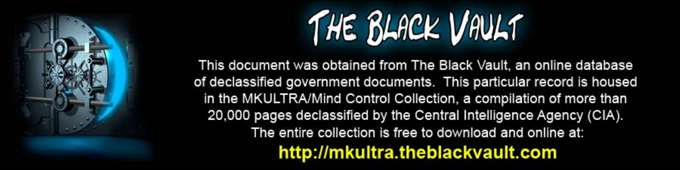

This document was obtained from The Black Vault, an online database of declassified government documents. This particular record is housed in the MKULTRA/Mind Control Collection, a compilation of more than 20,000 pages declassified by the Central Intelligence Agency (CIA). The entire collection is free to download and online at: http://mkultra.theblackvault.com